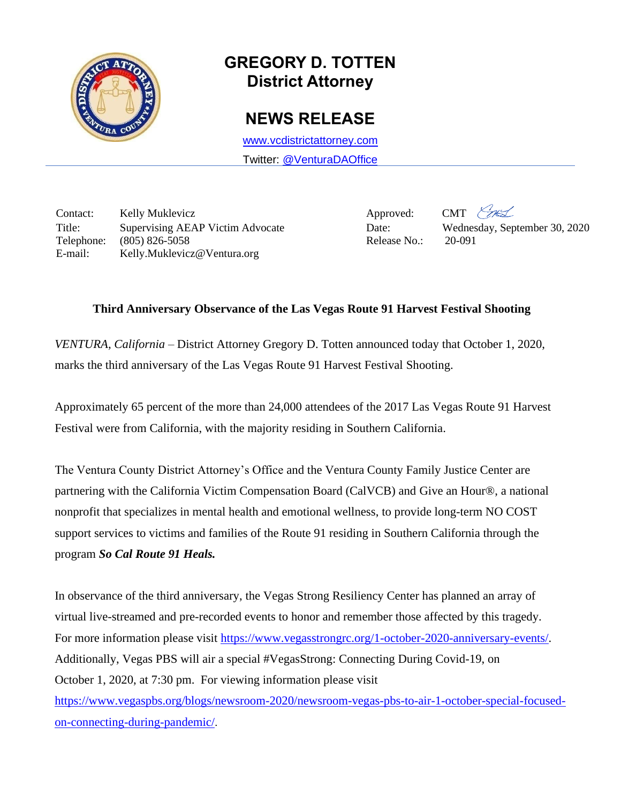

## **GREGORY D. TOTTEN District Attorney**

## **NEWS RELEASE**

[www.vcdistrictattorney.com](http://www.vcdistrictattorney.com/) Twitter: [@VenturaDAOffice](https://twitter.com/venturadaoffice)

Contact: Kelly Muklevicz Approved: CMT Title: Supervising AEAP Victim Advocate Date: Wednesday, September 30, 2020 Telephone: (805) 826-5058 Release No.: 20-091 E-mail: Kelly.Muklevicz@Ventura.org

## **Third Anniversary Observance of the Las Vegas Route 91 Harvest Festival Shooting**

*VENTURA, California* – District Attorney Gregory D. Totten announced today that October 1, 2020, marks the third anniversary of the Las Vegas Route 91 Harvest Festival Shooting.

Approximately 65 percent of the more than 24,000 attendees of the 2017 Las Vegas Route 91 Harvest Festival were from California, with the majority residing in Southern California.

The Ventura County District Attorney's Office and the Ventura County Family Justice Center are partnering with the California Victim Compensation Board (CalVCB) and Give an Hour®, a national nonprofit that specializes in mental health and emotional wellness, to provide long-term NO COST support services to victims and families of the Route 91 residing in Southern California through the program *So Cal Route 91 Heals.*

In observance of the third anniversary, the Vegas Strong Resiliency Center has planned an array of virtual live-streamed and pre-recorded events to honor and remember those affected by this tragedy. For more information please visit [https://www.vegasstrongrc.org/1-october-2020-anniversary-events/.](https://www.vegasstrongrc.org/1-october-2020-anniversary-events/) Additionally, Vegas PBS will air a special #VegasStrong: Connecting During Covid-19, on October 1, 2020, at 7:30 pm. For viewing information please visit [https://www.vegaspbs.org/blogs/newsroom-2020/newsroom-vegas-pbs-to-air-1-october-special-focused-](https://secure-web.cisco.com/1uRQyEo420FObQ7AKgh6PCnoef8cCHyDp0svS6XZHB0eGYj3ztXdgQn4WCMje7IJjUD6gGhEibP_U_hqXdsY05aAkTioCQOh9woXf3SgQcXVuq0w7vduWGX4-jI8CLiZ2inoaUNBnHAAZBzKfsBEoFQwEnuQFqQ8VYniXYXSItles4CuKBGu1uVFWIYwsyUP0VeyThqVcikpZS8LYgVAk6kXMjJLdtI3Jva7_GPuNusd6dBoGMxA-mhKP7-lQe1eHdxJKaajMu_rkFsReiKjzWjTlVT8W28VXVu-rhKnVNZK1oOsp8h7LziX1cN-YHDJvlEGRqoJWaJ6njK6LDsLJ3J-5cmULxh7yxoJYtEo58MksHDohPBgZ9TgCiB3ghXdmSOFtAGG_D9yH1sR97RTZOLS-_DV1VoEvpxVbLgT64go7yWuVEydSW6U2zXbt74XK/https%3A%2F%2Fwww.vegaspbs.org%2Fblogs%2Fnewsroom-2020%2Fnewsroom-vegas-pbs-to-air-1-october-special-focused-on-connecting-during-pandemic%2F)

[on-connecting-during-pandemic/](https://secure-web.cisco.com/1uRQyEo420FObQ7AKgh6PCnoef8cCHyDp0svS6XZHB0eGYj3ztXdgQn4WCMje7IJjUD6gGhEibP_U_hqXdsY05aAkTioCQOh9woXf3SgQcXVuq0w7vduWGX4-jI8CLiZ2inoaUNBnHAAZBzKfsBEoFQwEnuQFqQ8VYniXYXSItles4CuKBGu1uVFWIYwsyUP0VeyThqVcikpZS8LYgVAk6kXMjJLdtI3Jva7_GPuNusd6dBoGMxA-mhKP7-lQe1eHdxJKaajMu_rkFsReiKjzWjTlVT8W28VXVu-rhKnVNZK1oOsp8h7LziX1cN-YHDJvlEGRqoJWaJ6njK6LDsLJ3J-5cmULxh7yxoJYtEo58MksHDohPBgZ9TgCiB3ghXdmSOFtAGG_D9yH1sR97RTZOLS-_DV1VoEvpxVbLgT64go7yWuVEydSW6U2zXbt74XK/https%3A%2F%2Fwww.vegaspbs.org%2Fblogs%2Fnewsroom-2020%2Fnewsroom-vegas-pbs-to-air-1-october-special-focused-on-connecting-during-pandemic%2F).